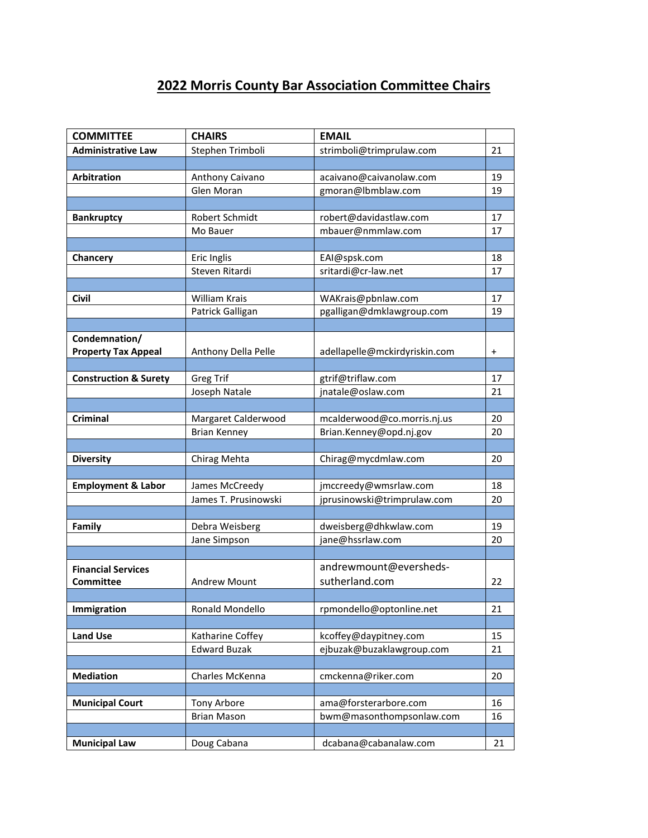## **2022 Morris County Bar Association Committee Chairs**

| <b>COMMITTEE</b>                 | <b>CHAIRS</b>        | <b>EMAIL</b>                  |           |
|----------------------------------|----------------------|-------------------------------|-----------|
| <b>Administrative Law</b>        | Stephen Trimboli     | strimboli@trimprulaw.com      | 21        |
|                                  |                      |                               |           |
| Arbitration                      | Anthony Caivano      | acaivano@caivanolaw.com       | 19        |
|                                  | Glen Moran           | gmoran@lbmblaw.com            | 19        |
|                                  |                      |                               |           |
| <b>Bankruptcy</b>                | Robert Schmidt       | robert@davidastlaw.com        | 17        |
|                                  | Mo Bauer             | mbauer@nmmlaw.com             | 17        |
|                                  |                      |                               |           |
| Chancery                         | Eric Inglis          | EAI@spsk.com                  | 18        |
|                                  | Steven Ritardi       | sritardi@cr-law.net           | 17        |
|                                  |                      |                               |           |
| <b>Civil</b>                     | William Krais        | WAKrais@pbnlaw.com            | 17        |
|                                  | Patrick Galligan     | pgalligan@dmklawgroup.com     | 19        |
|                                  |                      |                               |           |
| Condemnation/                    |                      |                               |           |
| <b>Property Tax Appeal</b>       | Anthony Della Pelle  | adellapelle@mckirdyriskin.com | $\ddot{}$ |
|                                  |                      |                               |           |
| <b>Construction &amp; Surety</b> | <b>Greg Trif</b>     | gtrif@triflaw.com             | 17        |
|                                  | Joseph Natale        | jnatale@oslaw.com             | 21        |
|                                  |                      |                               |           |
| Criminal                         | Margaret Calderwood  | mcalderwood@co.morris.nj.us   | 20        |
|                                  | <b>Brian Kenney</b>  | Brian.Kenney@opd.nj.gov       | 20        |
|                                  |                      |                               |           |
| <b>Diversity</b>                 | Chirag Mehta         | Chirag@mycdmlaw.com           | 20        |
|                                  |                      |                               |           |
| <b>Employment &amp; Labor</b>    | James McCreedy       | jmccreedy@wmsrlaw.com         | 18        |
|                                  | James T. Prusinowski | jprusinowski@trimprulaw.com   | 20        |
|                                  |                      |                               |           |
| Family                           | Debra Weisberg       | dweisberg@dhkwlaw.com         | 19        |
|                                  | Jane Simpson         | jane@hssrlaw.com              | 20        |
|                                  |                      |                               |           |
| <b>Financial Services</b>        |                      | andrewmount@eversheds-        |           |
| <b>Committee</b>                 | <b>Andrew Mount</b>  | sutherland.com                | 22        |
|                                  |                      |                               |           |
| Immigration                      | Ronald Mondello      | rpmondello@optonline.net      | 21        |
|                                  |                      |                               |           |
| <b>Land Use</b>                  | Katharine Coffey     | kcoffey@daypitney.com         | 15        |
|                                  | <b>Edward Buzak</b>  | ejbuzak@buzaklawgroup.com     | 21        |
|                                  |                      |                               |           |
| <b>Mediation</b>                 | Charles McKenna      | cmckenna@riker.com            | 20        |
|                                  |                      |                               |           |
| <b>Municipal Court</b>           | Tony Arbore          | ama@forsterarbore.com         | 16        |
|                                  | <b>Brian Mason</b>   | bwm@masonthompsonlaw.com      | 16        |
|                                  |                      |                               |           |
| <b>Municipal Law</b>             | Doug Cabana          | dcabana@cabanalaw.com         | 21        |